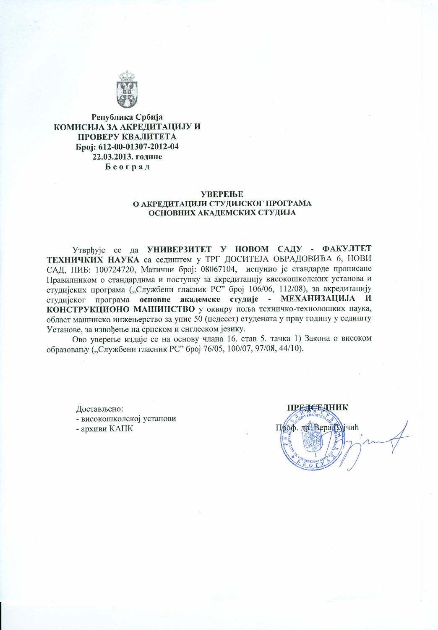

Република Србија КОМИСИЈА ЗА АКРЕДИТАЦИЈУ И ПРОВЕРУ КВАЛИТЕТА Број: 612-00-01307-2012-04 22.03.2013. године Београд

### **УВЕРЕЊЕ** О АКРЕДИТАЦИЈИ СТУДИЈСКОГ ПРОГРАМА ОСНОВНИХ АКАДЕМСКИХ СТУДИЈА

Утврђује се да УНИВЕРЗИТЕТ У НОВОМ САДУ - ФАКУЛТЕТ ТЕХНИЧКИХ НАУКА са седиштем у ТРГ ДОСИТЕЈА ОБРАДОВИЋА 6, НОВИ САД, ПИБ: 100724720, Матични број: 08067104, испунио је стандарде прописане Правилником о стандардима и поступку за акредитацију високошколских установа и студијских програма ("Службени гласник РС" број 106/06, 112/08), за акредитацију студијског програма основне академске студије - МЕХАНИЗАЦИЈА И КОНСТРУКЦИОНО МАШИНСТВО у оквиру поља техничко-технолошких наука, област машинско инжењерство за упис 50 (педесет) студената у прву годину у седишту Установе, за извођење на српском и енглеском језику.

Ово уверење издаје се на основу члана 16. став 5. тачка 1) Закона о високом образовању ("Службени гласник РС" број 76/05, 100/07, 97/08, 44/10).

Достављено: - високошколској установи - архиви КАПК

ПРЕДСЕДНИК Проф. др. Вера Вујчић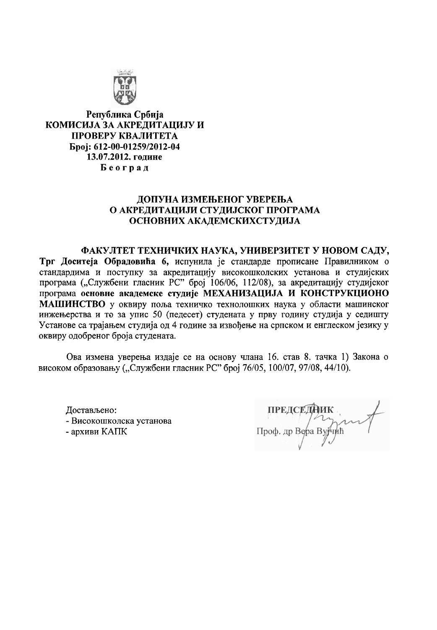

Република Србија КОМИСИЈА ЗА АКРЕЛИТАЦИЈУ И ПРОВЕРУ КВАЛИТЕТА Epoj: 612-00-01259/2012-04 13.07.2012. године Београд

# ДОПУНА ИЗМЕЊЕНОГ УВЕРЕЊА О АКРЕДИТАЦИЈИ СТУДИЈСКОГ ПРОГРАМА ОСНОВНИХ АКАДЕМСКИХСТУДИЈА

ФАКУЛТЕТ ТЕХНИЧКИХ НАУКА, УНИВЕРЗИТЕТ У НОВОМ САДУ, Трг Доситеја Обрадовића 6, испунила је стандарде прописане Правилником о стандардима и поступку за акредитацију високошколских установа и студијских програма ("Службени гласник РС" број 106/06, 112/08), за акредитацију студијског програма основне академске студије МЕХАНИЗАЦИЈА И КОНСТРУКЦИОНО МАШИНСТВО у оквиру поља техничко технолошких наука у области машинског инжењерства и то за упис 50 (педесет) студената у прву годину студија у седишту Установе са трајањем студија од 4 године за извођење на српском и енглеском језику у оквиру одобреног броја студената.

Ова измена уверења издаје се на основу члана 16. став 8. тачка 1) Закона о високом образовању ("Службени гласник РС" број 76/05, 100/07, 97/08, 44/10).

Достављено: - Високошколска установа - архиви КАПК

ПРЕДСЕДНИК<br>Проф. др Вера Вујчић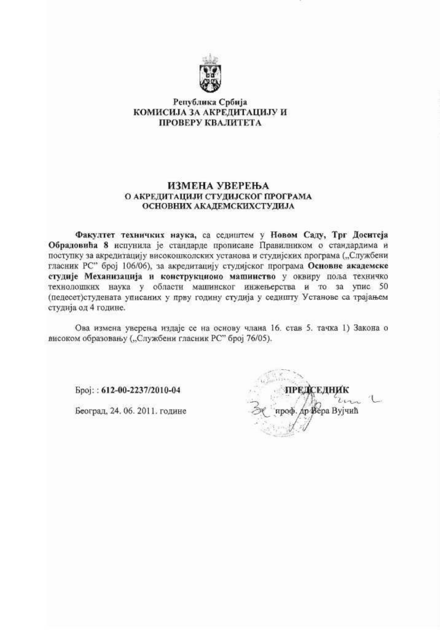

### Република Србија КОМИСИЈА ЗА АКРЕДИТАЦИЈУ И ПРОВЕРУ КВАЛИТЕТА

#### ИЗМЕНА УВЕРЕЊА О АКРЕДИТАЦИЈИ СТУДИЈСКОГ ПРОГРАМА ОСНОВНИХ АКАДЕМСКИХСТУДИЈА

Факултет техничких наука, са седиштем у Новом Саду, Трг Доситеја Обрадовића 8 испунила је стандарде прописане Правилником о стандардима и поступку за акредитацију високошколских установа и студијских програма ("Службени гласник РС" број 106/06), за акредитацију студијског програма Основне академске студије Механизација и конструкционо машинство у оквиру поља техничко технолошких наука у области машинског инжењерства и то за упис 50 (педесет)студената уписаних у прву годину студија у седишту Установе са трајањем студија од 4 године.

Ова измена уверења издаје се на основу члана 16. став 5. тачка 1) Закона о високом образовању ("Службени гласник РС" број 76/05).

Број:: 612-00-2237/2010-04

Београд, 24. 06. 2011. године

р Вера Вујчић